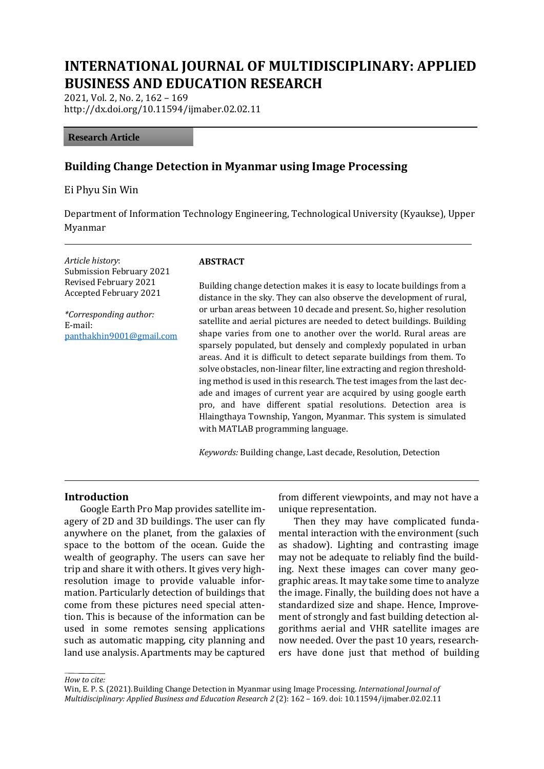# **INTERNATIONAL JOURNAL OF MULTIDISCIPLINARY: APPLIED BUSINESS AND EDUCATION RESEARCH**

2021, Vol. 2, No. 2, 162 – 169 http://dx.doi.org/10.11594/ijmaber.02.02.11

#### **Research Article**

### **Building Change Detection in Myanmar using Image Processing**

Ei Phyu Sin Win

Department of Information Technology Engineering, Technological University (Kyaukse), Upper Myanmar

*Article history*: Submission February 2021 Revised February 2021 Accepted February 2021

*\*Corresponding author:* E-mail: [panthakhin9001@gmail.com](mailto:panthakhin9001@gmail.com)

#### **ABSTRACT**

Building change detection makes it is easy to locate buildings from a distance in the sky. They can also observe the development of rural, or urban areas between 10 decade and present. So, higher resolution satellite and aerial pictures are needed to detect buildings. Building shape varies from one to another over the world. Rural areas are sparsely populated, but densely and complexly populated in urban areas. And it is difficult to detect separate buildings from them. To solve obstacles, non-linear filter, line extracting and region thresholding method is used in this research. The test images from the last decade and images of current year are acquired by using google earth pro, and have different spatial resolutions. Detection area is Hlaingthaya Township, Yangon, Myanmar. This system is simulated with MATLAB programming language.

*Keywords:* Building change, Last decade, Resolution, Detection

#### **Introduction**

Google Earth Pro Map provides satellite imagery of 2D and 3D buildings. The user can fly anywhere on the planet, from the galaxies of space to the bottom of the ocean. Guide the wealth of geography. The users can save her trip and share it with others. It gives very highresolution image to provide valuable information. Particularly detection of buildings that come from these pictures need special attention. This is because of the information can be used in some remotes sensing applications such as automatic mapping, city planning and land use analysis. Apartments may be captured

from different viewpoints, and may not have a unique representation.

Then they may have complicated fundamental interaction with the environment (such as shadow). Lighting and contrasting image may not be adequate to reliably find the building. Next these images can cover many geographic areas. It may take some time to analyze the image. Finally, the building does not have a standardized size and shape. Hence, Improvement of strongly and fast building detection algorithms aerial and VHR satellite images are now needed. Over the past 10 years, researchers have done just that method of building

*How to cite:*

Win, E. P. S. (2021).Building Change Detection in Myanmar using Image Processing. *International Journal of Multidisciplinary: Applied Business and Education Research 2* (2): 162 – 169. doi: 10.11594/ijmaber.02.02.11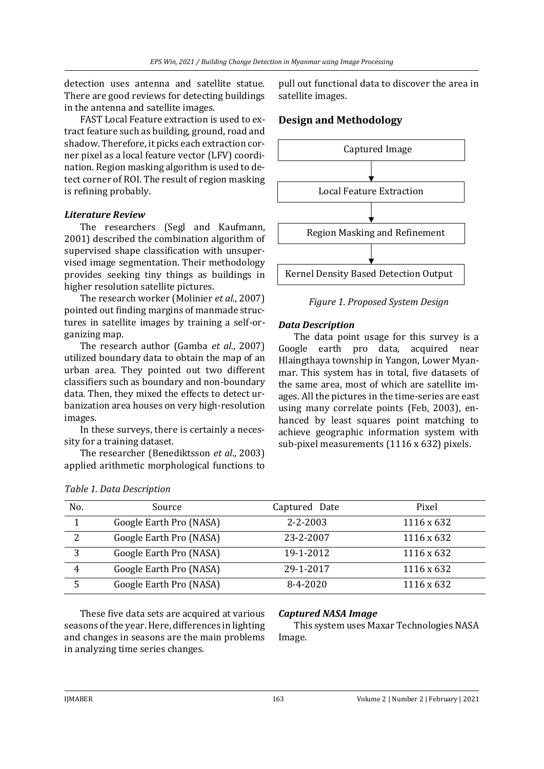detection uses antenna and satellite statue. There are good reviews for detecting buildings in the antenna and satellite images.

FAST Local Feature extraction is used to extract feature such as building, ground, road and shadow. Therefore, it picks each extraction corner pixel as a local feature vector (LFV) coordination. Region masking algorithm is used to detect corner of ROI. The result of region masking is refining probably.

### *Literature Review*

The researchers (Segl and Kaufmann, 2001) described the combination algorithm of supervised shape classification with unsupervised image segmentation. Their methodology provides seeking tiny things as buildings in higher resolution satellite pictures.

The research worker (Molinier *et al.*, 2007) pointed out finding margins of manmade structures in satellite images by training a self-organizing map.

The research author (Gamba *et al.*, 2007) utilized boundary data to obtain the map of an urban area. They pointed out two different classifiers such as boundary and non-boundary data. Then, they mixed the effects to detect urbanization area houses on very high-resolution images.

In these surveys, there is certainly a necessity for a training dataset.

The researcher (Benediktsson *et al*., 2003) applied arithmetic morphological functions to

pull out functional data to discover the area in satellite images.

# **Design and Methodology**



*Figure 1. Proposed System Design*

## *Data Description*

The data point usage for this survey is a Google earth pro data, acquired near Hlaingthaya township in Yangon, Lower Myanmar. This system has in total, five datasets of the same area, most of which are satellite images. All the pictures in the time-series are east using many correlate points (Feb, 2003), enhanced by least squares point matching to achieve geographic information system with sub-pixel measurements (1116 x 632) pixels.

| No. | Source                  | Captured Date | Pixel      |
|-----|-------------------------|---------------|------------|
|     | Google Earth Pro (NASA) | 2-2-2003      | 1116 x 632 |
| 2   | Google Earth Pro (NASA) | 23-2-2007     | 1116 x 632 |
| 3   | Google Earth Pro (NASA) | 19-1-2012     | 1116 x 632 |
| 4   | Google Earth Pro (NASA) | 29-1-2017     | 1116 x 632 |
|     | Google Earth Pro (NASA) | $8-4-2020$    | 1116 x 632 |

These five data sets are acquired at various seasons of the year. Here, differences in lighting and changes in seasons are the main problems in analyzing time series changes.

### *Captured NASA Image*

This system uses Maxar Technologies NASA Image.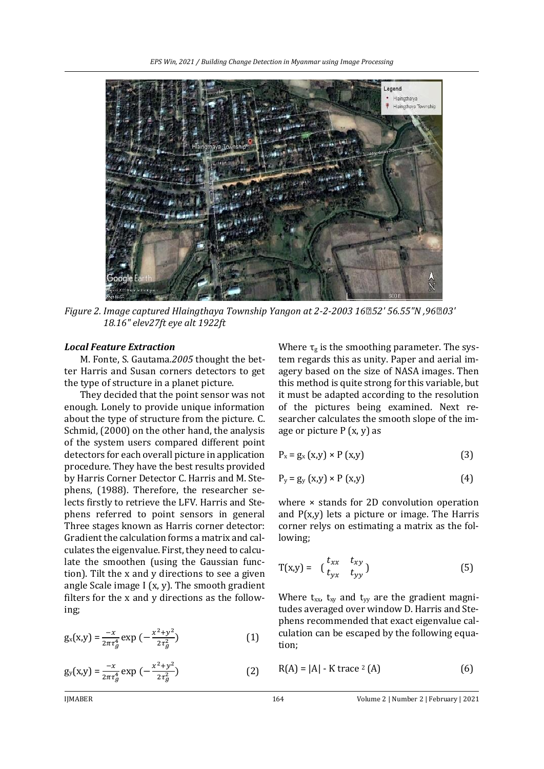

*Figure 2. Image captured Hlaingthaya Township Yangon at 2-2-2003 16◦52' 56.55"N ,96◦03' 18.16" elev27ft eye alt 1922ft*

#### *Local Feature Extraction*

M. Fonte, S. Gautama*.2005* thought the better Harris and Susan corners detectors to get the type of structure in a planet picture.

They decided that the point sensor was not enough. Lonely to provide unique information about the type of structure from the picture. C. Schmid, (2000) on the other hand, the analysis of the system users compared different point detectors for each overall picture in application procedure. They have the best results provided by Harris Corner Detector C. Harris and M. Stephens, (1988). Therefore, the researcher selects firstly to retrieve the LFV. Harris and Stephens referred to point sensors in general Three stages known as Harris corner detector: Gradient the calculation forms a matrix and calculates the eigenvalue. First, they need to calculate the smoothen (using the Gaussian function). Tilt the x and y directions to see a given angle Scale image I (x, y). The smooth gradient filters for the x and y directions as the following;

$$
g_{x}(x,y) = \frac{-x}{2\pi\tau_g^4} \exp\left(-\frac{x^2 + y^2}{2\tau_g^2}\right)
$$
 (1)

$$
g_{y}(x,y) = \frac{-x}{2\pi\tau_g^4} \exp\left(-\frac{x^2 + y^2}{2\tau_g^2}\right)
$$
 (2)

Where  $\tau_{g}$  is the smoothing parameter. The system regards this as unity. Paper and aerial imagery based on the size of NASA images. Then this method is quite strong for this variable, but it must be adapted according to the resolution of the pictures being examined. Next researcher calculates the smooth slope of the image or picture  $P(x, y)$  as

$$
P_x = g_x (x,y) \times P (x,y)
$$
 (3)

$$
P_y = g_y(x,y) \times P(x,y)
$$
 (4)

where  $\times$  stands for 2D convolution operation and  $P(x,y)$  lets a picture or image. The Harris corner relys on estimating a matrix as the following;

$$
T(x,y) = \begin{pmatrix} t_{xx} & t_{xy} \\ t_{yx} & t_{yy} \end{pmatrix}
$$
 (5)

Where  $t_{xx}$ ,  $t_{xy}$  and  $t_{yy}$  are the gradient magnitudes averaged over window D. Harris and Stephens recommended that exact eigenvalue calculation can be escaped by the following equation;

$$
R(A) = |A| - K \operatorname{trace}^2(A) \tag{6}
$$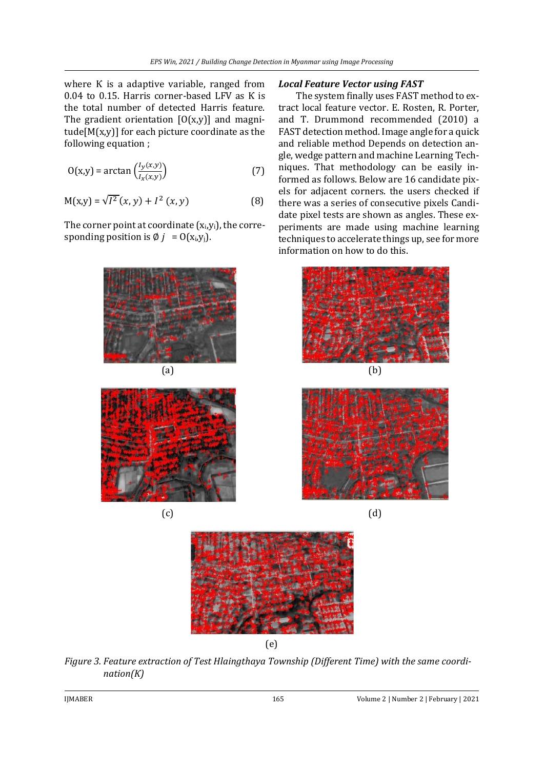where K is a adaptive variable, ranged from 0.04 to 0.15. Harris corner-based LFV as Ƙ is the total number of detected Harris feature. The gradient orientation  $[0(x,y)]$  and magnitude $[M(x,y)]$  for each picture coordinate as the following equation ;

$$
O(x,y) = \arctan\left(\frac{l_y(x,y)}{l_x(x,y)}\right) \tag{7}
$$

$$
M(x,y) = \sqrt{I^2}(x,y) + I^2(x,y)
$$
 (8)

The corner point at coordinate  $(x_i, y_i)$ , the corresponding position is  $\emptyset$  *j* =  $O(x_i, y_i)$ .



*Local Feature Vector using FAST*

The system finally uses FAST method to extract local feature vector. E. Rosten, R. Porter, and T. Drummond recommended (2010) a FAST detection method. Image angle for a quick and reliable method Depends on detection angle, wedge pattern and machine Learning Techniques. That methodology can be easily informed as follows. Below are 16 candidate pixels for adjacent corners. the users checked if there was a series of consecutive pixels Candidate pixel tests are shown as angles. These experiments are made using machine learning techniques to accelerate things up, see for more information on how to do this.









(e)

*Figure 3. Feature extraction of Test Hlaingthaya Township (Different Time) with the same coordination(Ƙ)*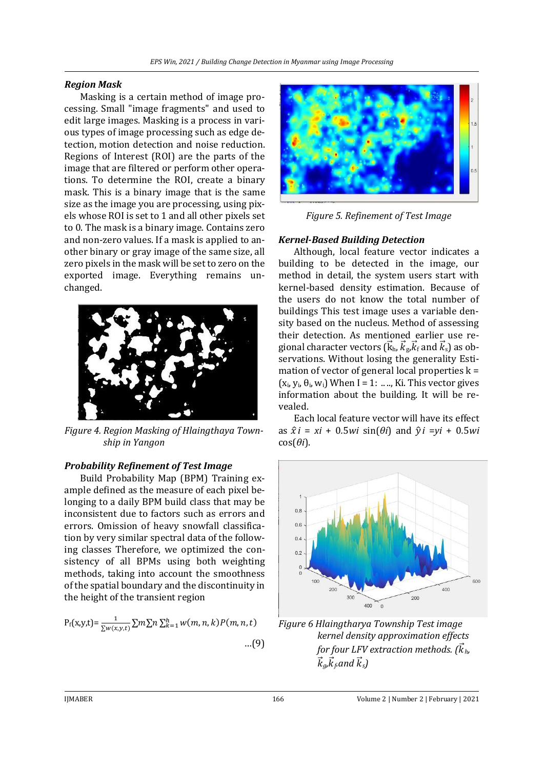## *Region Mask*

Masking is a certain method of image processing. Small "image fragments" and used to edit large images. Masking is a process in various types of image processing such as edge detection, motion detection and noise reduction. Regions of Interest (ROI) are the parts of the image that are filtered or perform other operations. To determine the ROI, create a binary mask. This is a binary image that is the same size as the image you are processing, using pixels whose ROI is set to 1 and all other pixels set to 0. The mask is a binary image. Contains zero and non-zero values. If a mask is applied to another binary or gray image of the same size, all zero pixels in the mask will be set to zero on the exported image. Everything remains unchanged.



*Figure 4. Region Masking of Hlaingthaya Township in Yangon*

### *Probability Refinement of Test Image*

Build Probability Map (BPM) Training example defined as the measure of each pixel belonging to a daily BPM build class that may be inconsistent due to factors such as errors and errors. Omission of heavy snowfall classification by very similar spectral data of the following classes Therefore, we optimized the consistency of all BPMs using both weighting methods, taking into account the smoothness of the spatial boundary and the discontinuity in the height of the transient region

$$
P_f(x,y,t) = \frac{1}{\sum w(x,y,t)} \sum m \sum n \sum_{k=1}^{h} w(m,n,k) P(m,n,t)
$$
...(9)



*Figure 5. Refinement of Test Image*

# *Kernel-Based Building Detection*

Although, local feature vector indicates a building to be detected in the image, our method in detail, the system users start with kernel-based density estimation. Because of the users do not know the total number of buildings This test image uses a variable density based on the nucleus. Method of assessing their detection. As mentioned earlier use regional character vectors ( $\vec{\rm k}_{\rm h}$ ,  $\vec{k}_{\rm g}$ , $\vec{k}_{\rm f}$  and  $\vec{k}_{\rm s}$ ) as observations. Without losing the generality Estimation of vector of general local properties  $k =$  $(x_i, y_i, \theta_i, w_i)$  When I = 1: ..., Ki. This vector gives information about the building. It will be revealed.

Each local feature vector will have its effect as  $\hat{x}$ *i* = *xi* + 0*.5wi* sin( $\theta$ *i*) and  $\hat{y}$ *i* = *yi* + 0*.5wi*  $cos(\theta i)$ .



*Figure 6 Hlaingtharya Township Test image kernel density approximation effects*  for four LFV extraction methods. ( $\vec{k}_h$ ,  $\vec{k}_g$ ,  $\vec{k}_f$  and  $\vec{k}_s$ )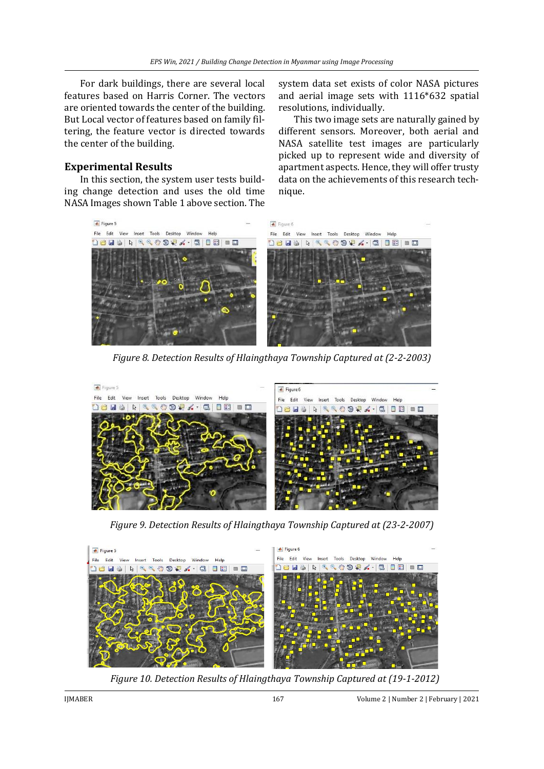For dark buildings, there are several local features based on Harris Corner. The vectors are oriented towards the center of the building. But Local vector of features based on family filtering, the feature vector is directed towards the center of the building.

### **Experimental Results**

In this section, the system user tests building change detection and uses the old time NASA Images shown Table 1 above section. The system data set exists of color NASA pictures and aerial image sets with 1116\*632 spatial resolutions, individually.

This two image sets are naturally gained by different sensors. Moreover, both aerial and NASA satellite test images are particularly picked up to represent wide and diversity of apartment aspects. Hence, they will offer trusty data on the achievements of this research technique.



*Figure 8. Detection Results of Hlaingthaya Township Captured at (2-2-2003)*



*Figure 9. Detection Results of Hlaingthaya Township Captured at (23-2-2007)*



*Figure 10. Detection Results of Hlaingthaya Township Captured at (19-1-2012)*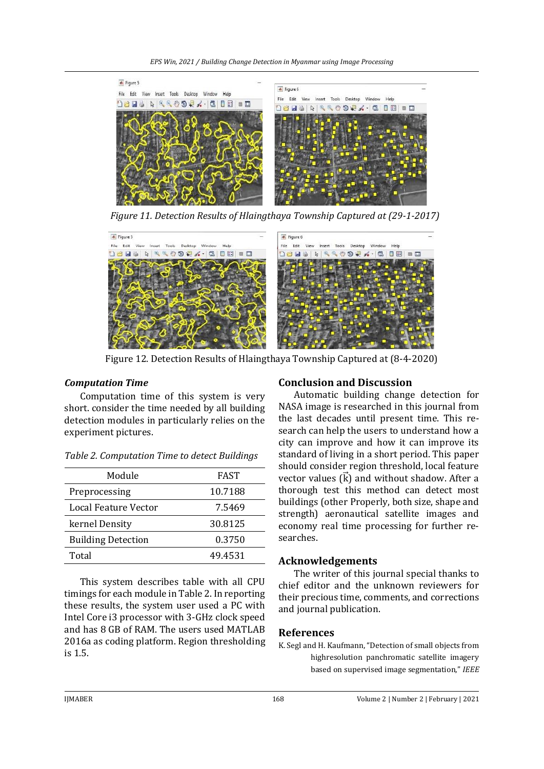*EPS Win, 2021 / Building Change Detection in Myanmar using Image Processing*



*Figure 11. Detection Results of Hlaingthaya Township Captured at (29-1-2017)*



Figure 12. Detection Results of Hlaingthaya Township Captured at (8-4-2020)

# *Computation Time*

Computation time of this system is very short. consider the time needed by all building detection modules in particularly relies on the experiment pictures.

| Module                    | FAST    |
|---------------------------|---------|
| Preprocessing             | 10.7188 |
| Local Feature Vector      | 7.5469  |
| kernel Density            | 30.8125 |
| <b>Building Detection</b> | 0.3750  |
| Total                     | 49.4531 |

*Table 2. Computation Time to detect Buildings*

This system describes table with all CPU timings for each module in Table 2. In reporting these results, the system user used a PC with Intel Core i3 processor with 3-GHz clock speed and has 8 GB of RAM. The users used MATLAB 2016a as coding platform. Region thresholding is 1.5.

# **Conclusion and Discussion**

Automatic building change detection for NASA image is researched in this journal from the last decades until present time. This research can help the users to understand how a city can improve and how it can improve its standard of living in a short period. This paper should consider region threshold, local feature vector values  $\overrightarrow{K}$  and without shadow. After a thorough test this method can detect most buildings (other Properly, both size, shape and strength) aeronautical satellite images and economy real time processing for further researches.

# **Acknowledgements**

The writer of this journal special thanks to chief editor and the unknown reviewers for their precious time, comments, and corrections and journal publication.

# **References**

K. Segl and H. Kaufmann, "Detection of small objects from highresolution panchromatic satellite imagery based on supervised image segmentation," *IEEE*